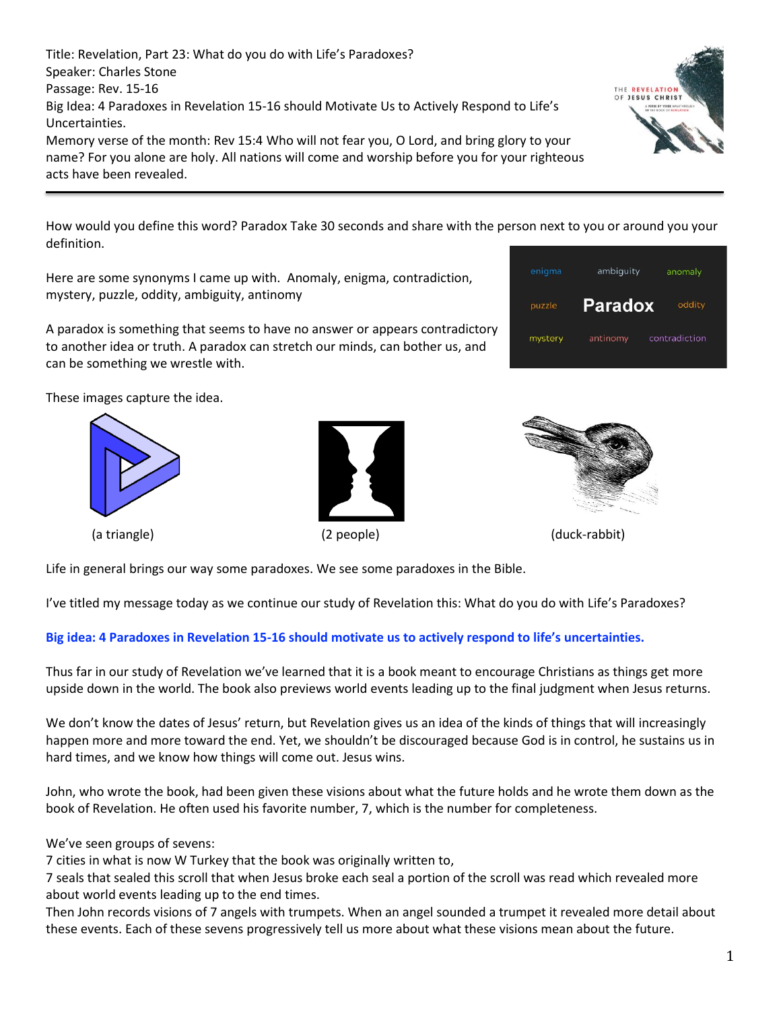Title: Revelation, Part 23: What do you do with Life's Paradoxes? Speaker: Charles Stone Passage: Rev. 15-16 Big Idea: 4 Paradoxes in Revelation 15-16 should Motivate Us to Actively Respond to Life's Uncertainties. Memory verse of the month: Rev 15:4 Who will not fear you, O Lord, and bring glory to your name? For you alone are holy. All nations will come and worship before you for your righteous acts have been revealed.

THE REVELATION OF JESUS CHRIST

How would you define this word? Paradox Take 30 seconds and share with the person next to you or around you your definition.

Here are some synonyms I came up with. Anomaly, enigma, contradiction, mystery, puzzle, oddity, ambiguity, antinomy

A paradox is something that seems to have no answer or appears contradictory to another idea or truth. A paradox can stretch our minds, can bother us, and can be something we wrestle with.



These images capture the idea.







(a triangle) (2 people) (duck-rabbit)

Life in general brings our way some paradoxes. We see some paradoxes in the Bible.

I've titled my message today as we continue our study of Revelation this: What do you do with Life's Paradoxes?

**Big idea: 4 Paradoxes in Revelation 15-16 should motivate us to actively respond to life's uncertainties.** 

Thus far in our study of Revelation we've learned that it is a book meant to encourage Christians as things get more upside down in the world. The book also previews world events leading up to the final judgment when Jesus returns.

We don't know the dates of Jesus' return, but Revelation gives us an idea of the kinds of things that will increasingly happen more and more toward the end. Yet, we shouldn't be discouraged because God is in control, he sustains us in hard times, and we know how things will come out. Jesus wins.

John, who wrote the book, had been given these visions about what the future holds and he wrote them down as the book of Revelation. He often used his favorite number, 7, which is the number for completeness.

We've seen groups of sevens:

7 cities in what is now W Turkey that the book was originally written to,

7 seals that sealed this scroll that when Jesus broke each seal a portion of the scroll was read which revealed more about world events leading up to the end times.

Then John records visions of 7 angels with trumpets. When an angel sounded a trumpet it revealed more detail about these events. Each of these sevens progressively tell us more about what these visions mean about the future.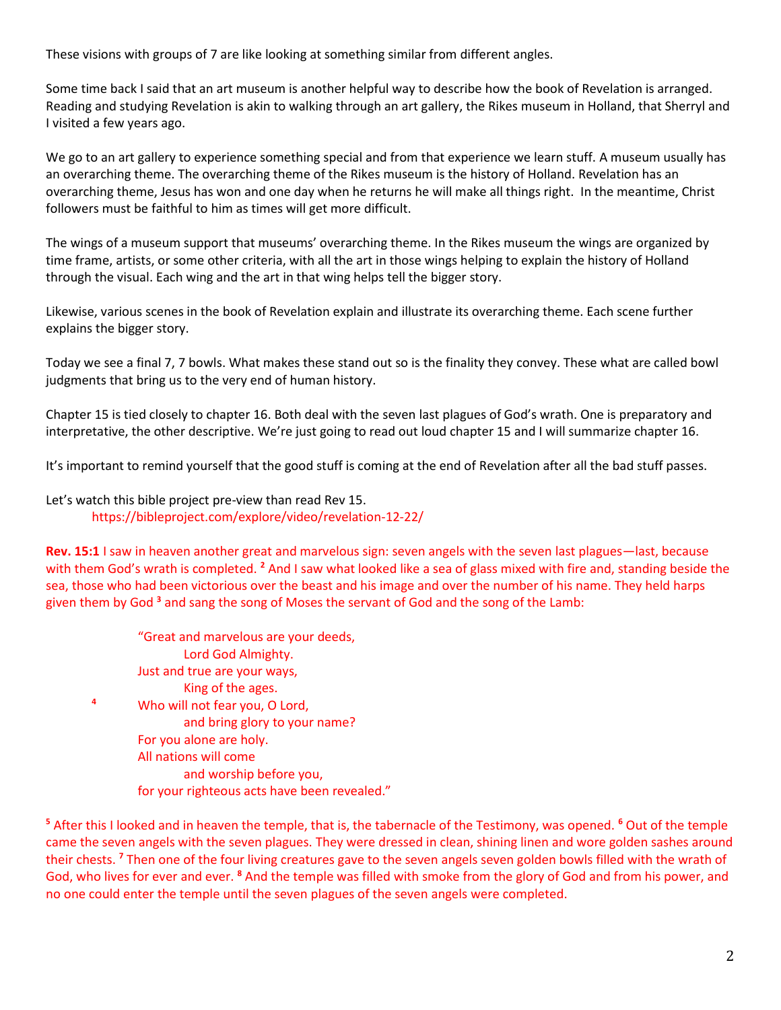These visions with groups of 7 are like looking at something similar from different angles.

Some time back I said that an art museum is another helpful way to describe how the book of Revelation is arranged. Reading and studying Revelation is akin to walking through an art gallery, the Rikes museum in Holland, that Sherryl and I visited a few years ago.

We go to an art gallery to experience something special and from that experience we learn stuff. A museum usually has an overarching theme. The overarching theme of the Rikes museum is the history of Holland. Revelation has an overarching theme, Jesus has won and one day when he returns he will make all things right. In the meantime, Christ followers must be faithful to him as times will get more difficult.

The wings of a museum support that museums' overarching theme. In the Rikes museum the wings are organized by time frame, artists, or some other criteria, with all the art in those wings helping to explain the history of Holland through the visual. Each wing and the art in that wing helps tell the bigger story.

Likewise, various scenes in the book of Revelation explain and illustrate its overarching theme. Each scene further explains the bigger story.

Today we see a final 7, 7 bowls. What makes these stand out so is the finality they convey. These what are called bowl judgments that bring us to the very end of human history.

Chapter 15 is tied closely to chapter 16. Both deal with the seven last plagues of God's wrath. One is preparatory and interpretative, the other descriptive. We're just going to read out loud chapter 15 and I will summarize chapter 16.

It's important to remind yourself that the good stuff is coming at the end of Revelation after all the bad stuff passes.

Let's watch this bible project pre-view than read Rev 15. https://bibleproject.com/explore/video/revelation-12-22/

**Rev. 15:1** I saw in heaven another great and marvelous sign: seven angels with the seven last plagues—last, because with them God's wrath is completed. **<sup>2</sup>** And I saw what looked like a sea of glass mixed with fire and, standing beside the sea, those who had been victorious over the beast and his image and over the number of his name. They held harps given them by God **<sup>3</sup>** and sang the song of Moses the servant of God and the song of the Lamb:

"Great and marvelous are your deeds, Lord God Almighty. Just and true are your ways, King of the ages. **<sup>4</sup>** Who will not fear you, O Lord, and bring glory to your name? For you alone are holy. All nations will come and worship before you, for your righteous acts have been revealed."

**<sup>5</sup>** After this I looked and in heaven the temple, that is, the tabernacle of the Testimony, was opened. **<sup>6</sup>** Out of the temple came the seven angels with the seven plagues. They were dressed in clean, shining linen and wore golden sashes around their chests. **<sup>7</sup>** Then one of the four living creatures gave to the seven angels seven golden bowls filled with the wrath of God, who lives for ever and ever. **<sup>8</sup>** And the temple was filled with smoke from the glory of God and from his power, and no one could enter the temple until the seven plagues of the seven angels were completed.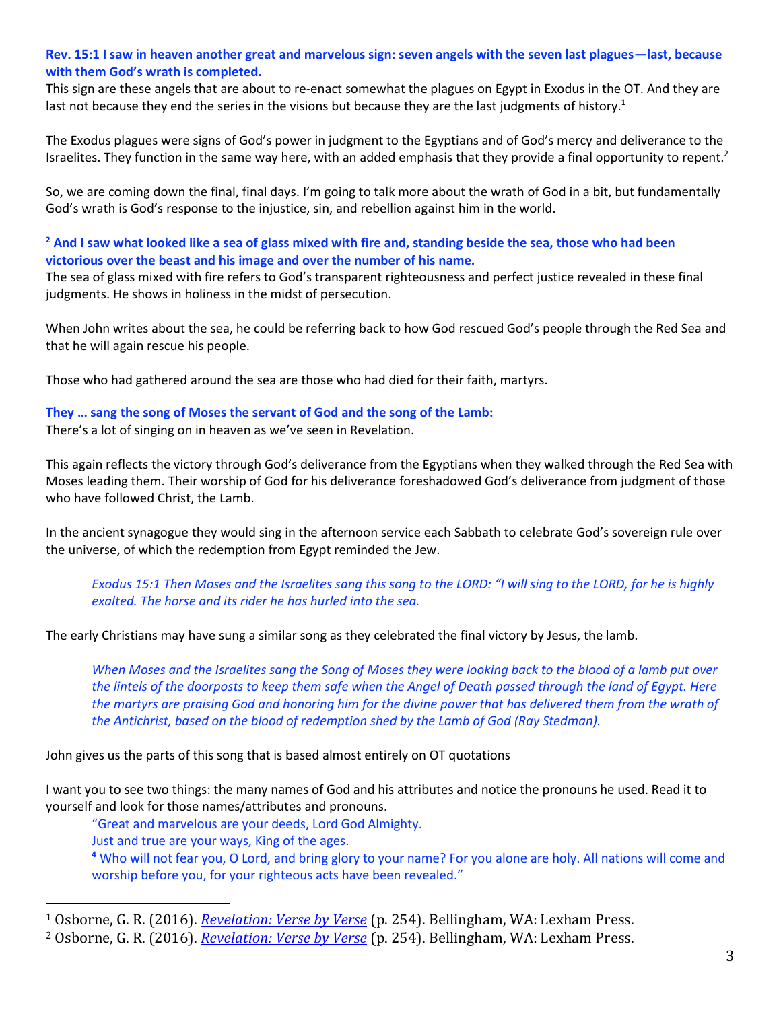#### **Rev. 15:1 I saw in heaven another great and marvelous sign: seven angels with the seven last plagues—last, because with them God's wrath is completed.**

This sign are these angels that are about to re-enact somewhat the plagues on Egypt in Exodus in the OT. And they are last not because they end the series in the visions but because they are the last judgments of history.<sup>1</sup>

The Exodus plagues were signs of God's power in judgment to the Egyptians and of God's mercy and deliverance to the Israelites. They function in the same way here, with an added emphasis that they provide a final opportunity to repent.<sup>2</sup>

So, we are coming down the final, final days. I'm going to talk more about the wrath of God in a bit, but fundamentally God's wrath is God's response to the injustice, sin, and rebellion against him in the world.

#### **<sup>2</sup> And I saw what looked like a sea of glass mixed with fire and, standing beside the sea, those who had been victorious over the beast and his image and over the number of his name.**

The sea of glass mixed with fire refers to God's transparent righteousness and perfect justice revealed in these final judgments. He shows in holiness in the midst of persecution.

When John writes about the sea, he could be referring back to how God rescued God's people through the Red Sea and that he will again rescue his people.

Those who had gathered around the sea are those who had died for their faith, martyrs.

## **They … sang the song of Moses the servant of God and the song of the Lamb:**

There's a lot of singing on in heaven as we've seen in Revelation.

This again reflects the victory through God's deliverance from the Egyptians when they walked through the Red Sea with Moses leading them. Their worship of God for his deliverance foreshadowed God's deliverance from judgment of those who have followed Christ, the Lamb.

In the ancient synagogue they would sing in the afternoon service each Sabbath to celebrate God's sovereign rule over the universe, of which the redemption from Egypt reminded the Jew.

*Exodus 15:1 Then Moses and the Israelites sang this song to the LORD: "I will sing to the LORD, for he is highly exalted. The horse and its rider he has hurled into the sea.*

The early Christians may have sung a similar song as they celebrated the final victory by Jesus, the lamb.

*When Moses and the Israelites sang the Song of Moses they were looking back to the blood of a lamb put over the lintels of the doorposts to keep them safe when the Angel of Death passed through the land of Egypt. Here the martyrs are praising God and honoring him for the divine power that has delivered them from the wrath of the Antichrist, based on the blood of redemption shed by the Lamb of God (Ray Stedman).*

John gives us the parts of this song that is based almost entirely on OT quotations

I want you to see two things: the many names of God and his attributes and notice the pronouns he used. Read it to yourself and look for those names/attributes and pronouns.

"Great and marvelous are your deeds, Lord God Almighty.

Just and true are your ways, King of the ages.

**<sup>4</sup>** Who will not fear you, O Lord, and bring glory to your name? For you alone are holy. All nations will come and worship before you, for your righteous acts have been revealed."

<sup>1</sup> Osborne, G. R. (2016). *[Revelation: Verse by Verse](https://ref.ly/logosres/vbv87rev?ref=Bible.Re15.1&off=958&ctx=ortunity+to+repent.%0a~These+seven+plagues+)* (p. 254). Bellingham, WA: Lexham Press.

<sup>2</sup> Osborne, G. R. (2016). *[Revelation: Verse by Verse](https://ref.ly/logosres/vbv87rev?ref=Bible.Re15.1&off=721&ctx=+the+two+witnesses.+~The+Exodus+plagues+w)* (p. 254). Bellingham, WA: Lexham Press.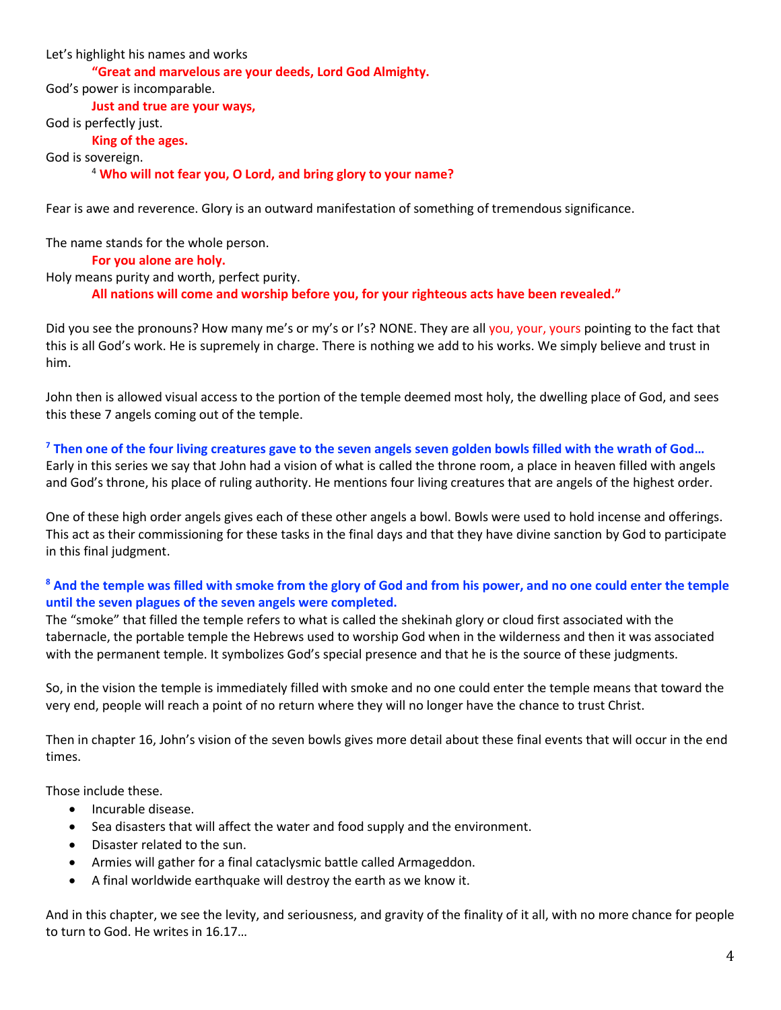Let's highlight his names and works **"Great and marvelous are your deeds, Lord God Almighty.** God's power is incomparable. **Just and true are your ways,** God is perfectly just. **King of the ages.**

God is sovereign.

#### <sup>4</sup> **Who will not fear you, O Lord, and bring glory to your name?**

Fear is awe and reverence. Glory is an outward manifestation of something of tremendous significance.

The name stands for the whole person. **For you alone are holy.** Holy means purity and worth, perfect purity. **All nations will come and worship before you, for your righteous acts have been revealed."**

Did you see the pronouns? How many me's or my's or I's? NONE. They are all you, your, yours pointing to the fact that this is all God's work. He is supremely in charge. There is nothing we add to his works. We simply believe and trust in him.

John then is allowed visual access to the portion of the temple deemed most holy, the dwelling place of God, and sees this these 7 angels coming out of the temple.

#### **<sup>7</sup> Then one of the four living creatures gave to the seven angels seven golden bowls filled with the wrath of God…**

Early in this series we say that John had a vision of what is called the throne room, a place in heaven filled with angels and God's throne, his place of ruling authority. He mentions four living creatures that are angels of the highest order.

One of these high order angels gives each of these other angels a bowl. Bowls were used to hold incense and offerings. This act as their commissioning for these tasks in the final days and that they have divine sanction by God to participate in this final judgment.

## **<sup>8</sup> And the temple was filled with smoke from the glory of God and from his power, and no one could enter the temple until the seven plagues of the seven angels were completed.**

The "smoke" that filled the temple refers to what is called the shekinah glory or cloud first associated with the tabernacle, the portable temple the Hebrews used to worship God when in the wilderness and then it was associated with the permanent temple. It symbolizes God's special presence and that he is the source of these judgments.

So, in the vision the temple is immediately filled with smoke and no one could enter the temple means that toward the very end, people will reach a point of no return where they will no longer have the chance to trust Christ.

Then in chapter 16, John's vision of the seven bowls gives more detail about these final events that will occur in the end times.

Those include these.

- Incurable disease.
- Sea disasters that will affect the water and food supply and the environment.
- Disaster related to the sun.
- Armies will gather for a final cataclysmic battle called Armageddon.
- A final worldwide earthquake will destroy the earth as we know it.

And in this chapter, we see the levity, and seriousness, and gravity of the finality of it all, with no more chance for people to turn to God. He writes in 16.17…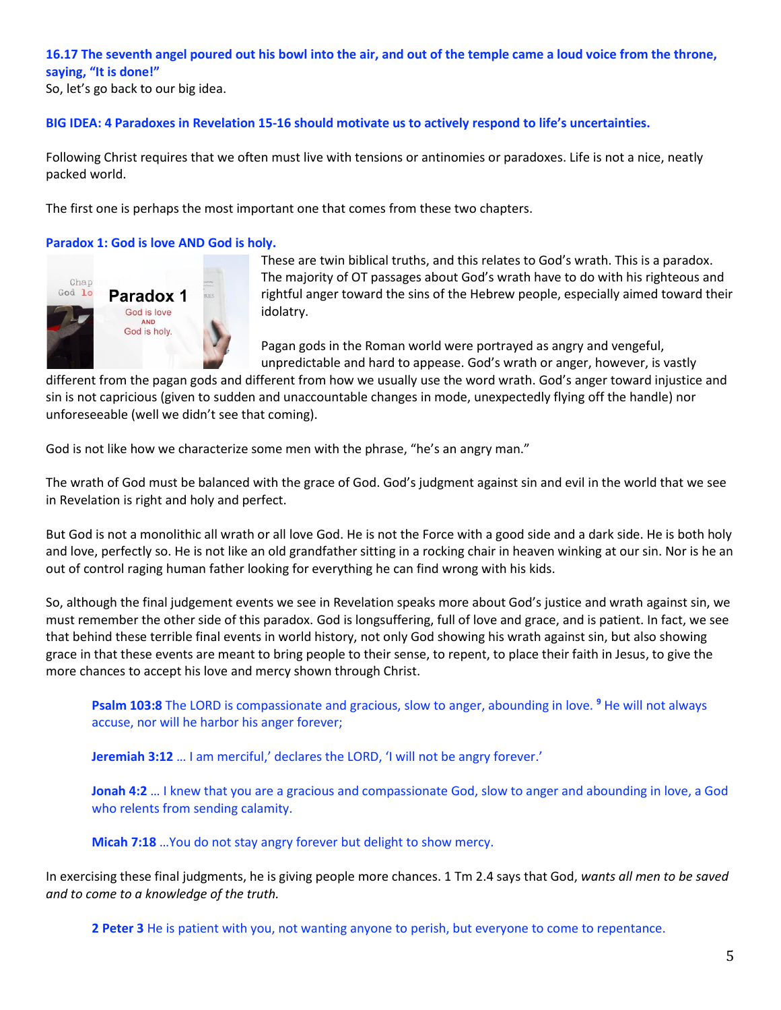## **16.17 The seventh angel poured out his bowl into the air, and out of the temple came a loud voice from the throne, saying, "It is done!"**

So, let's go back to our big idea.

#### **BIG IDEA: 4 Paradoxes in Revelation 15-16 should motivate us to actively respond to life's uncertainties.**

Following Christ requires that we often must live with tensions or antinomies or paradoxes. Life is not a nice, neatly packed world.

The first one is perhaps the most important one that comes from these two chapters.

#### **Paradox 1: God is love AND God is holy.**



These are twin biblical truths, and this relates to God's wrath. This is a paradox. The majority of OT passages about God's wrath have to do with his righteous and rightful anger toward the sins of the Hebrew people, especially aimed toward their idolatry.

Pagan gods in the Roman world were portrayed as angry and vengeful, unpredictable and hard to appease. God's wrath or anger, however, is vastly

different from the pagan gods and different from how we usually use the word wrath. God's anger toward injustice and sin is not capricious (given to sudden and unaccountable changes in mode, unexpectedly flying off the handle) nor unforeseeable (well we didn't see that coming).

God is not like how we characterize some men with the phrase, "he's an angry man."

The wrath of God must be balanced with the grace of God. God's judgment against sin and evil in the world that we see in Revelation is right and holy and perfect.

But God is not a monolithic all wrath or all love God. He is not the Force with a good side and a dark side. He is both holy and love, perfectly so. He is not like an old grandfather sitting in a rocking chair in heaven winking at our sin. Nor is he an out of control raging human father looking for everything he can find wrong with his kids.

So, although the final judgement events we see in Revelation speaks more about God's justice and wrath against sin, we must remember the other side of this paradox. God is longsuffering, full of love and grace, and is patient. In fact, we see that behind these terrible final events in world history, not only God showing his wrath against sin, but also showing grace in that these events are meant to bring people to their sense, to repent, to place their faith in Jesus, to give the more chances to accept his love and mercy shown through Christ.

**Psalm 103:8** The LORD is compassionate and gracious, slow to anger, abounding in love. **<sup>9</sup>** He will not always accuse, nor will he harbor his anger forever;

**Jeremiah 3:12** … I am merciful,' declares the LORD, 'I will not be angry forever.'

**Jonah 4:2** … I knew that you are a gracious and compassionate God, slow to anger and abounding in love, a God who relents from sending calamity.

#### **Micah 7:18** …You do not stay angry forever but delight to show mercy.

In exercising these final judgments, he is giving people more chances. 1 Tm 2.4 says that God, *wants all men to be saved and to come to a knowledge of the truth.*

**2 Peter 3** He is patient with you, not wanting anyone to perish, but everyone to come to repentance.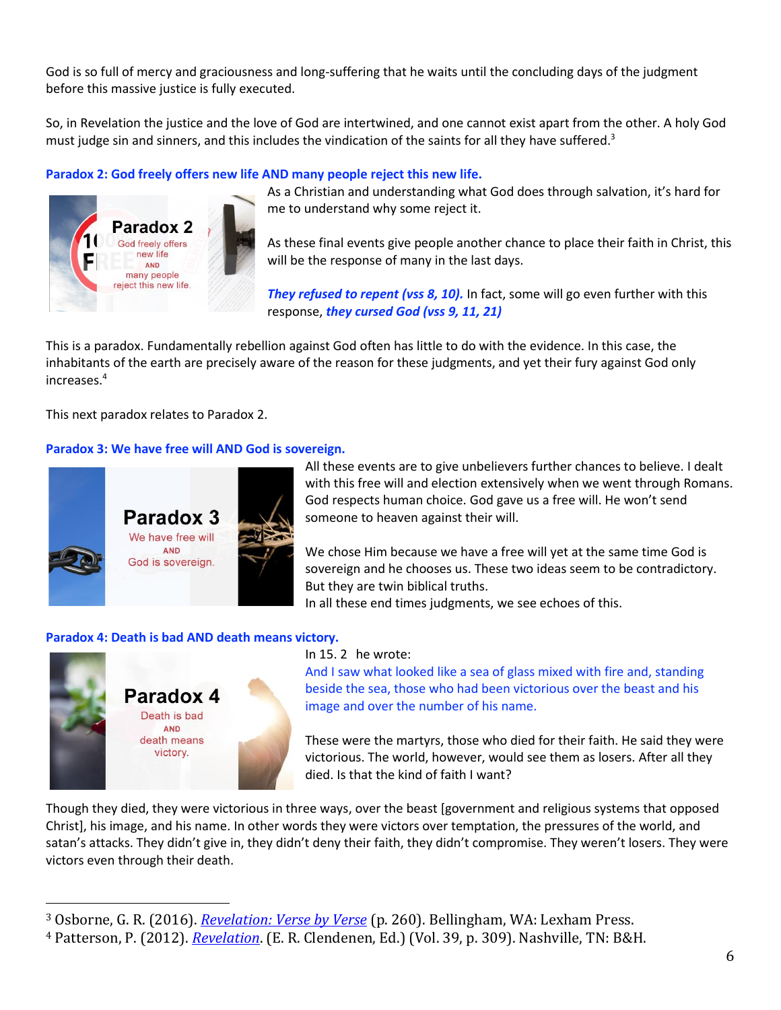God is so full of mercy and graciousness and long-suffering that he waits until the concluding days of the judgment before this massive justice is fully executed.

So, in Revelation the justice and the love of God are intertwined, and one cannot exist apart from the other. A holy God must judge sin and sinners, and this includes the vindication of the saints for all they have suffered.<sup>3</sup>

## **Paradox 2: God freely offers new life AND many people reject this new life.**



As a Christian and understanding what God does through salvation, it's hard for me to understand why some reject it.

As these final events give people another chance to place their faith in Christ, this will be the response of many in the last days.

*They refused to repent (vss 8, 10).* In fact, some will go even further with this response, *they cursed God (vss 9, 11, 21)*

This is a paradox. Fundamentally rebellion against God often has little to do with the evidence. In this case, the inhabitants of the earth are precisely aware of the reason for these judgments, and yet their fury against God only increases.<sup>4</sup>

This next paradox relates to Paradox 2.

#### **Paradox 3: We have free will AND God is sovereign.**



All these events are to give unbelievers further chances to believe. I dealt with this free will and election extensively when we went through Romans. God respects human choice. God gave us a free will. He won't send someone to heaven against their will.

We chose Him because we have a free will yet at the same time God is sovereign and he chooses us. These two ideas seem to be contradictory. But they are twin biblical truths.

In all these end times judgments, we see echoes of this.

### **Paradox 4: Death is bad AND death means victory.**



In 15. 2 he wrote:

And I saw what looked like a sea of glass mixed with fire and, standing beside the sea, those who had been victorious over the beast and his image and over the number of his name.

These were the martyrs, those who died for their faith. He said they were victorious. The world, however, would see them as losers. After all they died. Is that the kind of faith I want?

Though they died, they were victorious in three ways, over the beast [government and religious systems that opposed Christ], his image, and his name. In other words they were victors over temptation, the pressures of the world, and satan's attacks. They didn't give in, they didn't deny their faith, they didn't compromise. They weren't losers. They were victors even through their death.

<sup>3</sup> Osborne, G. R. (2016). *[Revelation: Verse by Verse](https://ref.ly/logosres/vbv87rev?ref=Bible.Re15.7-8&off=3247&ctx=ving%2c+merciful+God.+~Yet+in+Revelation+th)* (p. 260). Bellingham, WA: Lexham Press.

<sup>4</sup> Patterson, P. (2012). *[Revelation](https://ref.ly/logosres/nac39?ref=Bible.Re16.8-10&off=2315&ctx=1).+In+other+words%2c+~the+strange+circumst)*. (E. R. Clendenen, Ed.) (Vol. 39, p. 309). Nashville, TN: B&H.